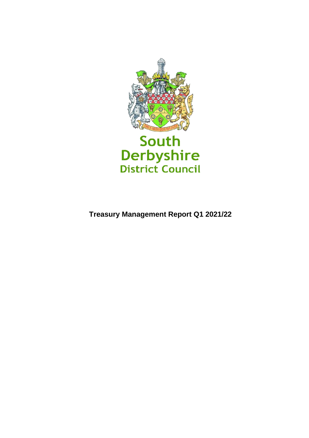

**Treasury Management Report Q1 2021/22**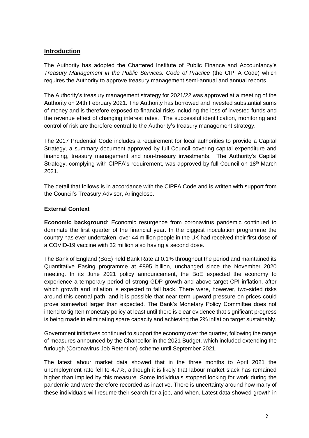# **Introduction**

The Authority has adopted the Chartered Institute of Public Finance and Accountancy's *Treasury Management in the Public Services: Code of Practice* (the CIPFA Code) which requires the Authority to approve treasury management semi-annual and annual reports.

The Authority's treasury management strategy for 2021/22 was approved at a meeting of the Authority on 24th February 2021. The Authority has borrowed and invested substantial sums of money and is therefore exposed to financial risks including the loss of invested funds and the revenue effect of changing interest rates. The successful identification, monitoring and control of risk are therefore central to the Authority's treasury management strategy.

The 2017 Prudential Code includes a requirement for local authorities to provide a Capital Strategy, a summary document approved by full Council covering capital expenditure and financing, treasury management and non-treasury investments. The Authority's Capital Strategy, complying with CIPFA's requirement, was approved by full Council on 18<sup>th</sup> March 2021.

The detail that follows is in accordance with the CIPFA Code and is written with support from the Council's Treasury Advisor, Arlingclose.

### **External Context**

**Economic background**: Economic resurgence from coronavirus pandemic continued to dominate the first quarter of the financial year. In the biggest inoculation programme the country has ever undertaken, over 44 million people in the UK had received their first dose of a COVID-19 vaccine with 32 million also having a second dose.

The Bank of England (BoE) held Bank Rate at 0.1% throughout the period and maintained its Quantitative Easing programme at £895 billion, unchanged since the November 2020 meeting. In its June 2021 policy announcement, the BoE expected the economy to experience a temporary period of strong GDP growth and above-target CPI inflation, after which growth and inflation is expected to fall back. There were, however, two-sided risks around this central path, and it is possible that near-term upward pressure on prices could prove somewhat larger than expected. The Bank's Monetary Policy Committee does not intend to tighten monetary policy at least until there is clear evidence that significant progress is being made in eliminating spare capacity and achieving the 2% inflation target sustainably.

Government initiatives continued to support the economy over the quarter, following the range of measures announced by the Chancellor in the 2021 Budget, which included extending the furlough (Coronavirus Job Retention) scheme until September 2021.

The latest labour market data showed that in the three months to April 2021 the unemployment rate fell to 4.7%, although it is likely that labour market slack has remained higher than implied by this measure. Some individuals stopped looking for work during the pandemic and were therefore recorded as inactive. There is uncertainty around how many of these individuals will resume their search for a job, and when. Latest data showed growth in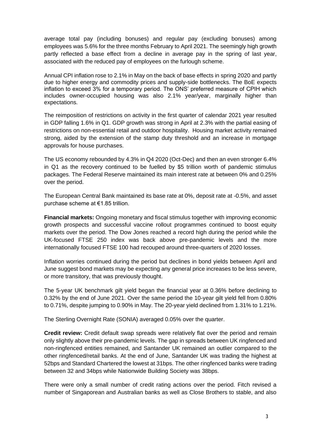average total pay (including bonuses) and regular pay (excluding bonuses) among employees was 5.6% for the three months February to April 2021. The seemingly high growth partly reflected a base effect from a decline in average pay in the spring of last year, associated with the reduced pay of employees on the furlough scheme.

Annual CPI inflation rose to 2.1% in May on the back of base effects in spring 2020 and partly due to higher energy and commodity prices and supply-side bottlenecks. The BoE expects inflation to exceed 3% for a temporary period. The ONS' preferred measure of CPIH which includes owner-occupied housing was also 2.1% year/year, marginally higher than expectations.

The reimposition of restrictions on activity in the first quarter of calendar 2021 year resulted in GDP falling 1.6% in Q1. GDP growth was strong in April at 2.3% with the partial easing of restrictions on non-essential retail and outdoor hospitality. Housing market activity remained strong, aided by the extension of the stamp duty threshold and an increase in mortgage approvals for house purchases.

The US economy rebounded by 4.3% in Q4 2020 (Oct-Dec) and then an even stronger 6.4% in Q1 as the recovery continued to be fuelled by \$5 trillion worth of pandemic stimulus packages. The Federal Reserve maintained its main interest rate at between 0% and 0.25% over the period.

The European Central Bank maintained its base rate at 0%, deposit rate at -0.5%, and asset purchase scheme at €1.85 trillion.

**Financial markets:** Ongoing monetary and fiscal stimulus together with improving economic growth prospects and successful vaccine rollout programmes continued to boost equity markets over the period. The Dow Jones reached a record high during the period while the UK-focused FTSE 250 index was back above pre-pandemic levels and the more internationally focused FTSE 100 had recouped around three-quarters of 2020 losses.

Inflation worries continued during the period but declines in bond yields between April and June suggest bond markets may be expecting any general price increases to be less severe, or more transitory, that was previously thought.

The 5-year UK benchmark gilt yield began the financial year at 0.36% before declining to 0.32% by the end of June 2021. Over the same period the 10-year gilt yield fell from 0.80% to 0.71%, despite jumping to 0.90% in May. The 20-year yield declined from 1.31% to 1.21%.

The Sterling Overnight Rate (SONIA) averaged 0.05% over the quarter.

**Credit review:** Credit default swap spreads were relatively flat over the period and remain only slightly above their pre-pandemic levels. The gap in spreads between UK ringfenced and non-ringfenced entities remained, and Santander UK remained an outlier compared to the other ringfenced/retail banks. At the end of June, Santander UK was trading the highest at 52bps and Standard Chartered the lowest at 31bps. The other ringfenced banks were trading between 32 and 34bps while Nationwide Building Society was 38bps.

There were only a small number of credit rating actions over the period. Fitch revised a number of Singaporean and Australian banks as well as Close Brothers to stable, and also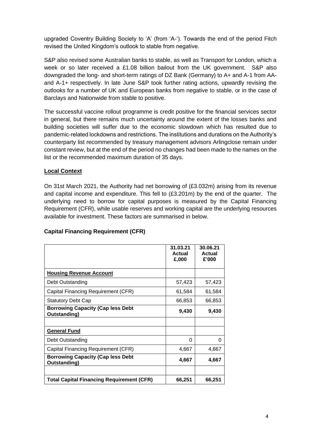upgraded Coventry Building Society to 'A' (from 'A-'). Towards the end of the period Fitch revised the United Kingdom's outlook to stable from negative.

S&P also revised some Australian banks to stable, as well as Transport for London, which a week or so later received a £1.08 billion bailout from the UK government. S&P also downgraded the long- and short-term ratings of DZ Bank (Germany) to A+ and A-1 from AAand A-1+ respectively. In late June S&P took further rating actions, upwardly revising the outlooks for a number of UK and European banks from negative to stable, or in the case of Barclays and Nationwide from stable to positive.

The successful vaccine rollout programme is credit positive for the financial services sector in general, but there remains much uncertainty around the extent of the losses banks and building societies will suffer due to the economic slowdown which has resulted due to pandemic-related lockdowns and restrictions. The institutions and durations on the Authority's counterparty list recommended by treasury management advisors Arlingclose remain under constant review, but at the end of the period no changes had been made to the names on the list or the recommended maximum duration of 35 days.

## **Local Context**

On 31st March 2021, the Authority had net borrowing of (£3.032m) arising from its revenue and capital income and expenditure. This fell to  $(E3.201m)$  by the end of the quarter. The underlying need to borrow for capital purposes is measured by the Capital Financing Requirement (CFR), while usable reserves and working capital are the underlying resources available for investment. These factors are summarised in below.

#### **Capital Financing Requirement (CFR)**

|                                                          | 31.03.21<br>Actual<br>£,000 | 30.06.21<br><b>Actual</b><br>£'000 |
|----------------------------------------------------------|-----------------------------|------------------------------------|
| <b>Housing Revenue Account</b>                           |                             |                                    |
| Debt Outstanding                                         | 57,423                      | 57,423                             |
| Capital Financing Requirement (CFR)                      | 61,584                      | 61,584                             |
| <b>Statutory Debt Cap</b>                                | 66,853                      | 66,853                             |
| <b>Borrowing Capacity (Cap less Debt</b><br>Outstanding) | 9,430                       | 9,430                              |
| <b>General Fund</b>                                      |                             |                                    |
| Debt Outstanding                                         | 0                           | 0                                  |
| Capital Financing Requirement (CFR)                      | 4,667                       | 4,667                              |
| <b>Borrowing Capacity (Cap less Debt</b><br>Outstanding) | 4,667                       | 4,667                              |
| <b>Total Capital Financing Requirement (CFR)</b>         | 66,251                      | 66,251                             |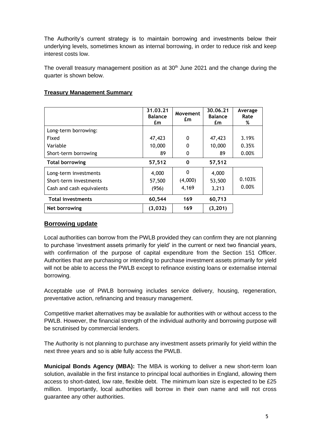The Authority's current strategy is to maintain borrowing and investments below their underlying levels, sometimes known as internal borrowing, in order to reduce risk and keep interest costs low.

The overall treasury management position as at  $30<sup>th</sup>$  June 2021 and the change during the quarter is shown below.

|                                                                              | 31.03.21<br><b>Balance</b><br>£m | Movement<br>£m        | 30.06.21<br><b>Balance</b><br>£m | Average<br>Rate<br>% |
|------------------------------------------------------------------------------|----------------------------------|-----------------------|----------------------------------|----------------------|
| Long-term borrowing:                                                         |                                  |                       |                                  |                      |
| Fixed                                                                        | 47,423                           | $\Omega$              | 47,423                           | 3.19%                |
| Variable                                                                     | 10,000                           | 0                     | 10,000                           | 0.35%                |
| Short-term borrowing                                                         | 89                               | 0                     | 89                               | 0.00%                |
| <b>Total borrowing</b>                                                       | 57,512                           | 0                     | 57,512                           |                      |
| Long-term investments<br>Short-term investments<br>Cash and cash equivalents | 4,000<br>57,500<br>(956)         | 0<br>(4,000)<br>4,169 | 4,000<br>53,500<br>3,213         | 0.103%<br>0.00%      |
| <b>Total investments</b>                                                     | 60,544                           | 169                   | 60,713                           |                      |
| Net borrowing                                                                | (3,032)                          | 169                   | (3, 201)                         |                      |

### **Treasury Management Summary**

#### **Borrowing update**

Local authorities can borrow from the PWLB provided they can confirm they are not planning to purchase 'investment assets primarily for yield' in the current or next two financial years, with confirmation of the purpose of capital expenditure from the Section 151 Officer. Authorities that are purchasing or intending to purchase investment assets primarily for yield will not be able to access the PWLB except to refinance existing loans or externalise internal borrowing.

Acceptable use of PWLB borrowing includes service delivery, housing, regeneration, preventative action, refinancing and treasury management.

Competitive market alternatives may be available for authorities with or without access to the PWLB. However, the financial strength of the individual authority and borrowing purpose will be scrutinised by commercial lenders.

The Authority is not planning to purchase any investment assets primarily for yield within the next three years and so is able fully access the PWLB.

**Municipal Bonds Agency (MBA):** The MBA is working to deliver a new short-term loan solution, available in the first instance to principal local authorities in England, allowing them access to short-dated, low rate, flexible debt. The minimum loan size is expected to be £25 million. Importantly, local authorities will borrow in their own name and will not cross guarantee any other authorities.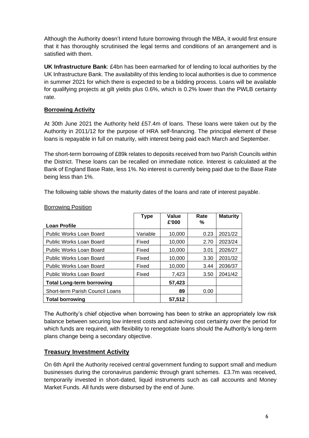Although the Authority doesn't intend future borrowing through the MBA, it would first ensure that it has thoroughly scrutinised the legal terms and conditions of an arrangement and is satisfied with them.

**UK Infrastructure Bank**: £4bn has been earmarked for of lending to local authorities by the UK Infrastructure Bank. The availability of this lending to local authorities is due to commence in summer 2021 for which there is expected to be a bidding process. Loans will be available for qualifying projects at gilt yields plus 0.6%, which is 0.2% lower than the PWLB certainty rate.

# **Borrowing Activity**

At 30th June 2021 the Authority held £57.4m of loans. These loans were taken out by the Authority in 2011/12 for the purpose of HRA self-financing. The principal element of these loans is repayable in full on maturity, with interest being paid each March and September.

The short-term borrowing of £89k relates to deposits received from two Parish Councils within the District. These loans can be recalled on immediate notice. Interest is calculated at the Bank of England Base Rate, less 1%. No interest is currently being paid due to the Base Rate being less than 1%.

The following table shows the maturity dates of the loans and rate of interest payable.

|                                  | <b>Type</b> | Value  | Rate | <b>Maturity</b> |
|----------------------------------|-------------|--------|------|-----------------|
| <b>Loan Profile</b>              |             | £'000  | ℅    |                 |
| <b>Public Works Loan Board</b>   | Variable    | 10,000 | 0.23 | 2021/22         |
| Public Works Loan Board          | Fixed       | 10,000 | 2.70 | 2023/24         |
| Public Works Loan Board          | Fixed       | 10,000 | 3.01 | 2026/27         |
| Public Works Loan Board          | Fixed       | 10.000 | 3.30 | 2031/32         |
| Public Works Loan Board          | Fixed       | 10,000 | 3.44 | 2036/37         |
| <b>Public Works Loan Board</b>   | Fixed       | 7,423  | 3.50 | 2041/42         |
| <b>Total Long-term borrowing</b> |             | 57,423 |      |                 |
| Short-term Parish Council Loans  |             | 89     | 0.00 |                 |
| <b>Total borrowing</b>           |             | 57,512 |      |                 |

Borrowing Position

The Authority's chief objective when borrowing has been to strike an appropriately low risk balance between securing low interest costs and achieving cost certainty over the period for which funds are required, with flexibility to renegotiate loans should the Authority's long-term plans change being a secondary objective.

# **Treasury Investment Activity**

On 6th April the Authority received central government funding to support small and medium businesses during the coronavirus pandemic through grant schemes. £3.7m was received, temporarily invested in short-dated, liquid instruments such as call accounts and Money Market Funds. All funds were disbursed by the end of June.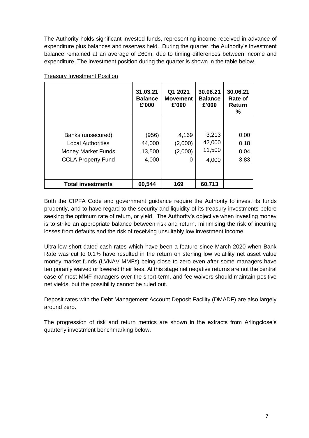The Authority holds significant invested funds, representing income received in advance of expenditure plus balances and reserves held. During the quarter, the Authority's investment balance remained at an average of £60m, due to timing differences between income and expenditure. The investment position during the quarter is shown in the table below.

|                                                                                                         | 31.03.21<br><b>Balance</b><br>£'000 | Q1 2021<br><b>Movement</b><br>£'000 | 30.06.21<br><b>Balance</b><br>£'000 | 30.06.21<br>Rate of<br>Return<br>% |
|---------------------------------------------------------------------------------------------------------|-------------------------------------|-------------------------------------|-------------------------------------|------------------------------------|
| Banks (unsecured)<br><b>Local Authorities</b><br><b>Money Market Funds</b><br><b>CCLA Property Fund</b> | (956)<br>44,000<br>13,500<br>4,000  | 4,169<br>(2,000)<br>(2,000)<br>0    | 3,213<br>42,000<br>11,500<br>4,000  | 0.00<br>0.18<br>0.04<br>3.83       |
| <b>Total investments</b>                                                                                | 60,544                              | 169                                 | 60,713                              |                                    |

Treasury Investment Position

Both the CIPFA Code and government guidance require the Authority to invest its funds prudently, and to have regard to the security and liquidity of its treasury investments before seeking the optimum rate of return, or yield. The Authority's objective when investing money is to strike an appropriate balance between risk and return, minimising the risk of incurring losses from defaults and the risk of receiving unsuitably low investment income.

Ultra-low short-dated cash rates which have been a feature since March 2020 when Bank Rate was cut to 0.1% have resulted in the return on sterling low volatility net asset value money market funds (LVNAV MMFs) being close to zero even after some managers have temporarily waived or lowered their fees. At this stage net negative returns are not the central case of most MMF managers over the short-term, and fee waivers should maintain positive net yields, but the possibility cannot be ruled out.

Deposit rates with the Debt Management Account Deposit Facility (DMADF) are also largely around zero.

The progression of risk and return metrics are shown in the extracts from Arlingclose's quarterly investment benchmarking below.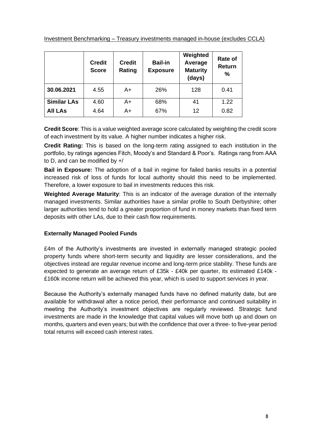|                    | <b>Credit</b><br><b>Score</b> | <b>Credit</b><br>Rating | <b>Bail-in</b><br><b>Exposure</b> | Weighted<br>Average<br><b>Maturity</b><br>(days) | Rate of<br>Return<br>$\frac{9}{6}$ |
|--------------------|-------------------------------|-------------------------|-----------------------------------|--------------------------------------------------|------------------------------------|
| 30.06.2021         | 4.55                          | A+                      | 26%                               | 128                                              | 0.41                               |
| <b>Similar LAs</b> | 4.60                          | A+                      | 68%                               | 41                                               | 1.22                               |
| <b>All LAs</b>     | 4.64                          | A+                      | 67%                               | 12                                               | 0.82                               |

**Credit Score**: This is a value weighted average score calculated by weighting the credit score of each investment by its value. A higher number indicates a higher risk.

**Credit Rating:** This is based on the long-term rating assigned to each institution in the portfolio, by ratings agencies Fitch, Moody's and Standard & Poor's. Ratings rang from AAA to D, and can be modified by +/

**Bail in Exposure:** The adoption of a bail in regime for failed banks results in a potential increased risk of loss of funds for local authority should this need to be implemented. Therefore, a lower exposure to bail in investments reduces this risk.

**Weighted Average Maturity**: This is an indicator of the average duration of the internally managed investments. Similar authorities have a similar profile to South Derbyshire; other larger authorities tend to hold a greater proportion of fund in money markets than fixed term deposits with other LAs, due to their cash flow requirements.

## **Externally Managed Pooled Funds**

£4m of the Authority's investments are invested in externally managed strategic pooled property funds where short-term security and liquidity are lesser considerations, and the objectives instead are regular revenue income and long-term price stability. These funds are expected to generate an average return of £35k - £40k per quarter, its estimated £140k - £160k income return will be achieved this year, which is used to support services in year.

Because the Authority's externally managed funds have no defined maturity date, but are available for withdrawal after a notice period, their performance and continued suitability in meeting the Authority's investment objectives are regularly reviewed. Strategic fund investments are made in the knowledge that capital values will move both up and down on months, quarters and even years; but with the confidence that over a three- to five-year period total returns will exceed cash interest rates.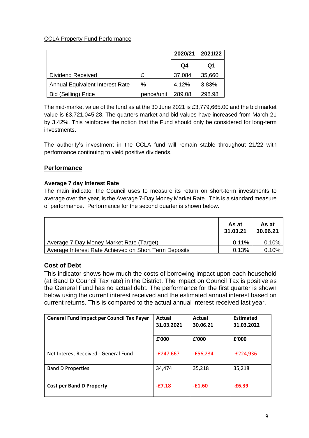# CCLA Property Fund Performance

|                                        |            | 2020/21 | 2021/22 |
|----------------------------------------|------------|---------|---------|
|                                        |            | Q4      | Q1      |
| Dividend Received                      | £          | 37,084  | 35,660  |
| <b>Annual Equivalent Interest Rate</b> | %          | 4.12%   | 3.83%   |
| <b>Bid (Selling) Price</b>             | pence/unit | 289.08  | 298.98  |

The mid-market value of the fund as at the 30 June 2021 is £3,779,665.00 and the bid market value is £3,721,045.28. The quarters market and bid values have increased from March 21 by 3.42%. This reinforces the notion that the Fund should only be considered for long-term investments.

The authority's investment in the CCLA fund will remain stable throughout 21/22 with performance continuing to yield positive dividends.

# **Performance**

### **Average 7 day Interest Rate**

The main indicator the Council uses to measure its return on short-term investments to average over the year, is the Average 7-Day Money Market Rate. This is a standard measure of performance. Performance for the second quarter is shown below.

|                                                       | As at<br>31.03.21 | As at<br>30.06.21 |
|-------------------------------------------------------|-------------------|-------------------|
| Average 7-Day Money Market Rate (Target)              | $0.11\%$          | 0.10%             |
| Average Interest Rate Achieved on Short Term Deposits | 0.13%             | $0.10\%$          |

## **Cost of Debt**

This indicator shows how much the costs of borrowing impact upon each household (at Band D Council Tax rate) in the District. The impact on Council Tax is positive as the General Fund has no actual debt. The performance for the first quarter is shown below using the current interest received and the estimated annual interest based on current returns. This is compared to the actual annual interest received last year.

| <b>General Fund Impact per Council Tax Payer</b> | Actual<br>31.03.2021 | Actual<br>30.06.21 | <b>Estimated</b><br>31.03.2022 |
|--------------------------------------------------|----------------------|--------------------|--------------------------------|
|                                                  | £'000                | £'000              | £'000                          |
| Net Interest Received - General Fund             | $-E247,667$          | $-E56,234$         | $-E224,936$                    |
| <b>Band D Properties</b>                         | 34,474               | 35,218             | 35,218                         |
| <b>Cost per Band D Property</b>                  | $-£7.18$             | $-£1.60$           | $-£6.39$                       |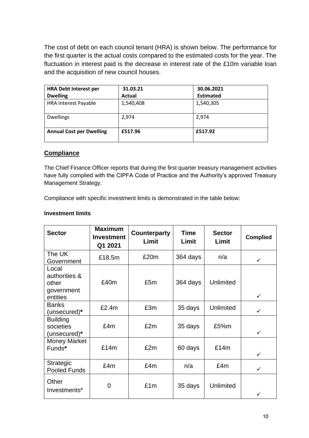The cost of debt on each council tenant (HRA) is shown below. The performance for the first quarter is the actual costs compared to the estimated costs for the year. The fluctuation in interest paid is the decrease in interest rate of the £10m variable loan and the acquisition of new council houses.

| <b>HRA Debt Interest per</b>    | 31.03.21  | 30.06.2021       |
|---------------------------------|-----------|------------------|
| <b>Dwelling</b>                 | Actual    | <b>Estimated</b> |
| <b>HRA Interest Payable</b>     | 1,540,408 | 1,540,305        |
| <b>Dwellings</b>                | 2,974     | 2,974            |
| <b>Annual Cost per Dwelling</b> | £517.96   | £517.92          |

## **Compliance**

The Chief Finance Officer reports that during the first quarter treasury management activities have fully complied with the CIPFA Code of Practice and the Authority's approved Treasury Management Strategy.

Compliance with specific investment limits is demonstrated in the table below:

### **Investment limits**

| <b>Sector</b>                                             | <b>Maximum</b><br><b>Investment</b><br>Q1 2021 | <b>Counterparty</b><br>Limit | <b>Time</b><br>Limit | <b>Sector</b><br>Limit | <b>Complied</b> |
|-----------------------------------------------------------|------------------------------------------------|------------------------------|----------------------|------------------------|-----------------|
| The UK<br>Government                                      | £18.5m                                         | £20m                         | 364 days             | n/a                    | ✓               |
| Local<br>authorities &<br>other<br>government<br>entities | £40m                                           | £5m                          | 364 days             | Unlimited              | $\checkmark$    |
| <b>Banks</b><br>(unsecured)*                              | £2.4m                                          | £3m                          | 35 days              | Unlimited              | ✓               |
| <b>Building</b><br>societies<br>(unsecured)*              | £4m                                            | £2m                          | 35 days              | £5%m                   | ✓               |
| <b>Money Market</b><br>Funds*                             | £14m                                           | £2m                          | 60 days              | £14m                   | $\checkmark$    |
| <b>Strategic</b><br>Pooled Funds                          | £4m                                            | £4m                          | n/a                  | £4m                    | $\checkmark$    |
| Other<br>Investments*                                     | 0                                              | £1m                          | 35 days              | <b>Unlimited</b>       | ✓               |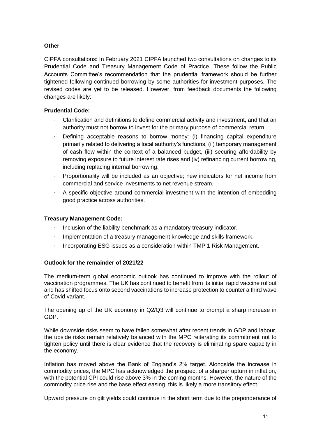## **Other**

CIPFA consultations: In February 2021 CIPFA launched two consultations on changes to its Prudential Code and Treasury Management Code of Practice. These follow the Public Accounts Committee's recommendation that the prudential framework should be further tightened following continued borrowing by some authorities for investment purposes. The revised codes are yet to be released. However, from feedback documents the following changes are likely:

#### **Prudential Code:**

- Clarification and definitions to define commercial activity and investment, and that an authority must not borrow to invest for the primary purpose of commercial return.
- Defining acceptable reasons to borrow money: (i) financing capital expenditure primarily related to delivering a local authority's functions, (ii) temporary management of cash flow within the context of a balanced budget, (iii) securing affordability by removing exposure to future interest rate rises and (iv) refinancing current borrowing, including replacing internal borrowing.
- Proportionality will be included as an objective; new indicators for net income from commercial and service investments to net revenue stream.
- A specific objective around commercial investment with the intention of embedding good practice across authorities.

#### **Treasury Management Code:**

- Inclusion of the liability benchmark as a mandatory treasury indicator.
- Implementation of a treasury management knowledge and skills framework.
- Incorporating ESG issues as a consideration within TMP 1 Risk Management.

#### **Outlook for the remainder of 2021/22**

The medium-term global economic outlook has continued to improve with the rollout of vaccination programmes. The UK has continued to benefit from its initial rapid vaccine rollout and has shifted focus onto second vaccinations to increase protection to counter a third wave of Covid variant.

The opening up of the UK economy in Q2/Q3 will continue to prompt a sharp increase in GDP.

While downside risks seem to have fallen somewhat after recent trends in GDP and labour, the upside risks remain relatively balanced with the MPC reiterating its commitment not to tighten policy until there is clear evidence that the recovery is eliminating spare capacity in the economy.

Inflation has moved above the Bank of England's 2% target. Alongside the increase in commodity prices, the MPC has acknowledged the prospect of a sharper upturn in inflation, with the potential CPI could rise above 3% in the coming months. However, the nature of the commodity price rise and the base effect easing, this is likely a more transitory effect.

Upward pressure on gilt yields could continue in the short term due to the preponderance of